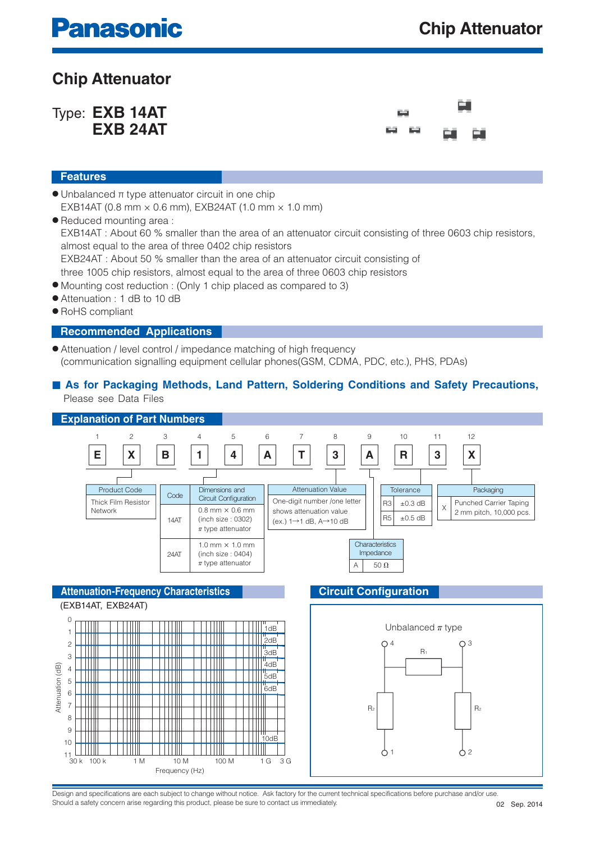# **Panasonic**

### **Chip Attenuator**

Type: **EXB 14AT EXB 24AT**



#### **Features**

- $\bullet$  Unbalanced  $\pi$  type attenuator circuit in one chip EXB14AT (0.8 mm  $\times$  0.6 mm), EXB24AT (1.0 mm  $\times$  1.0 mm)
- Reduced mounting area : EXB14AT : About 60 % smaller than the area of an attenuator circuit consisting of three 0603 chip resistors, almost equal to the area of three 0402 chip resistors EXB24AT : About 50 % smaller than the area of an attenuator circuit consisting of three 1005 chip resistors, almost equal to the area of three 0603 chip resistors
- Mounting cost reduction : (Only 1 chip placed as compared to 3)
- Attenuation : 1 dB to 10 dB
- RoHS compliant

#### **Recommended Applications**

- Attenuation / level control / impedance matching of high frequency (communication signalling equipment cellular phones(GSM, CDMA, PDC, etc.), PHS, PDAs)
- As for Packaging Methods, Land Pattern, Soldering Conditions and Safety Precautions, Please see Data Files



Design and specifications are each subject to change without notice. Ask factory for the current technical specifications before purchase and/or use Should a safety concern arise regarding this product, please be sure to contact us immediately.